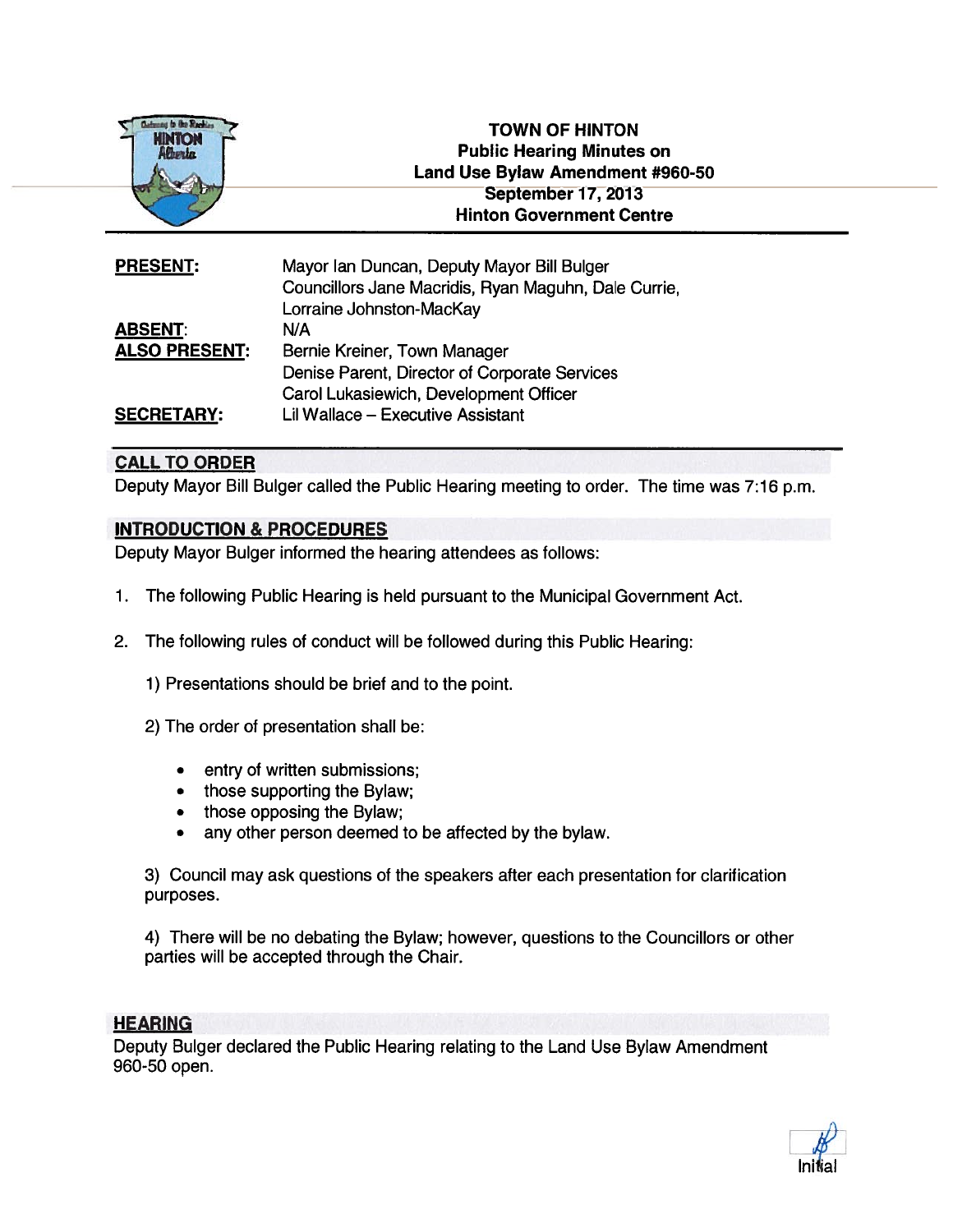

| <b>PRESENT:</b>      | Mayor Ian Duncan, Deputy Mayor Bill Bulger<br>Councillors Jane Macridis, Ryan Maguhn, Dale Currie |
|----------------------|---------------------------------------------------------------------------------------------------|
|                      | Lorraine Johnston-MacKay                                                                          |
| <b>ABSENT:</b>       | N/A                                                                                               |
| <b>ALSO PRESENT:</b> | Bernie Kreiner, Town Manager                                                                      |
|                      | Denise Parent, Director of Corporate Services                                                     |
|                      | Carol Lukasiewich, Development Officer                                                            |
| <b>SECRETARY:</b>    | Lil Wallace - Executive Assistant                                                                 |

# CALL TO ORDER

Deputy Mayor Bill Bulger called the Public Hearing meeting to order. The time was 7:16 p.m.

## INTRODUCTION & PROCEDURES

Deputy Mayor Bulger informed the hearing attendees as follows:

- 1. The following Public Hearing is held pursuan<sup>t</sup> to the Municipal Government Act.
- 2. The following rules of conduct will be followed during this Public Hearing:
	- 1) Presentations should be brief and to the point.
	- 2) The order of presentation shall be:
		- •entry of written submissions;
		- •those supporting the Bylaw;
		- •those opposing the Bylaw;
		- •any other person deemed to be affected by the bylaw.

3) Council may ask questions of the speakers after each presentation for clarification purposes.

4) There will be no debating the Bylaw; however, questions to the Councillors or other parties will be accepted through the Chair.

## **HEARING**

Deputy Bulger declared the Public Hearing relating to the Land Use Bylaw Amendment 960-50 open.

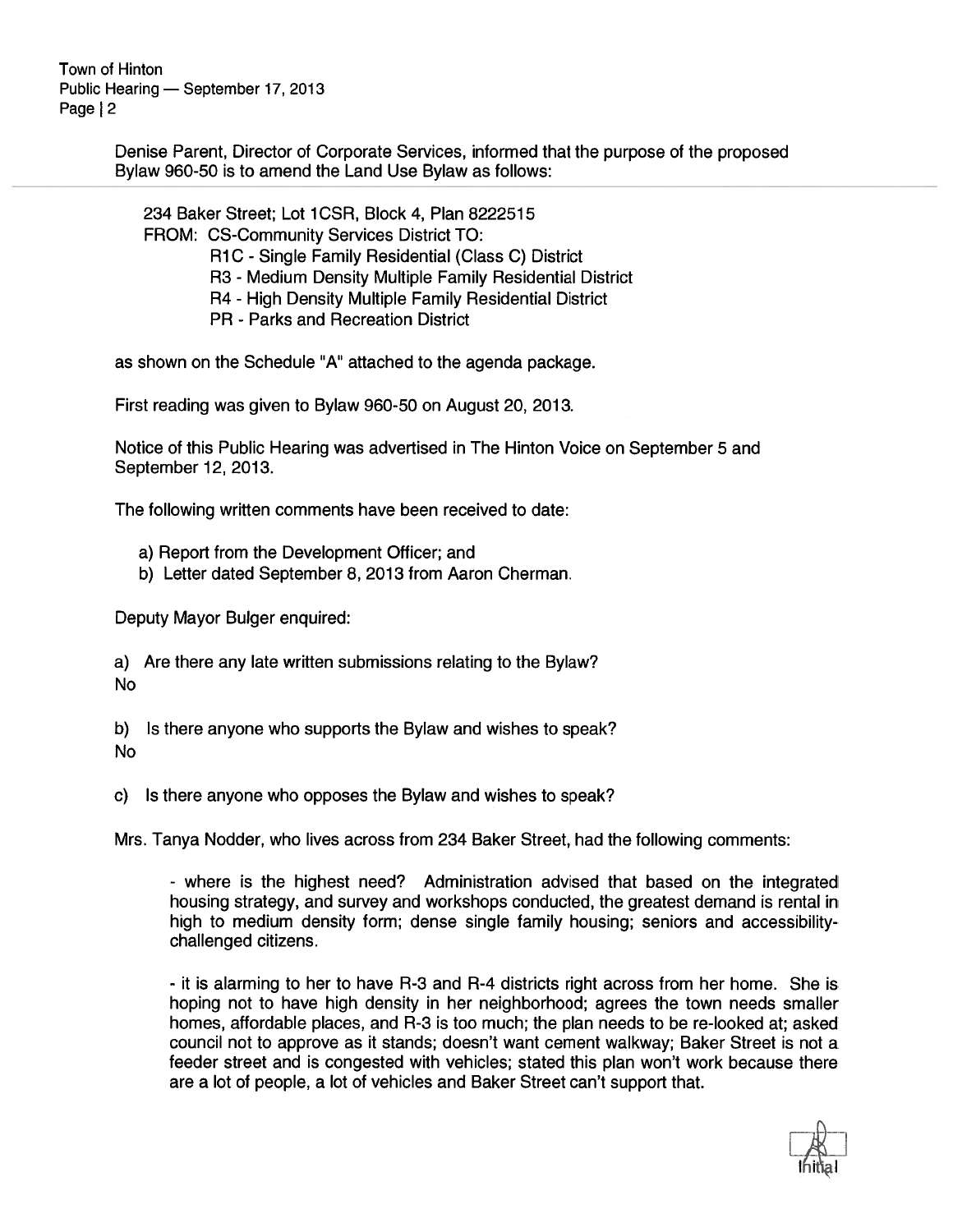> Denise Parent, Director of Corporate Services, informed that the purpose of the proposed Bylaw 960-50 is to amend the Land Use Bylaw as follows:

234 Baker Street; Lot 1CSR, Block 4, Plan 8222515 FROM: CS-Community Services District TO: R1C - Single Family Residential (Class C) District R3 - Medium Density Multiple Family Residential District R4 - High Density Multiple Family Residential District PR - Parks and Recreation District

as shown on the Schedule "A" attached to the agenda package.

First reading was given to Bylaw 960-50 on August 20, 2013.

Notice of this Public Hearing was advertised in The Hinton Voice on September 5 and September 12, 2013.

The following written comments have been received to date:

- a) Report from the Development Officer; and
- b) Letter dated September 8, 2013 from Aaron Cherman.

Deputy Mayor Bulger enquired:

a) Are there any late written submissions relating to the Bylaw? No

b) Is there anyone who supports the Bylaw and wishes to speak? No

c) Is there anyone who opposes the Bylaw and wishes to speak?

Mrs. Tanya Nodder, who lives across from 234 Baker Street, had the following comments:

- where is the highest need? Administration advised that based on the integrated housing strategy, and survey and workshops conducted, the greatest demand is rental in high to medium density form; dense single family housing; seniors and accessibilitychallenged citizens.

- it is alarming to her to have R-3 and R-4 districts right across from her home. She is hoping not to have high density in her neighborhood; agrees the town needs smaller homes, affordable places, and R-3 is too much; the plan needs to be re-looked at; asked council not to approve as it stands; doesn't want cement walkway; Baker Street is not <sup>a</sup> feeder street and is congested with vehicles; stated this plan won't work because there are <sup>a</sup> lot of people, <sup>a</sup> lot of vehicles and Baker Street can't suppor<sup>t</sup> that.

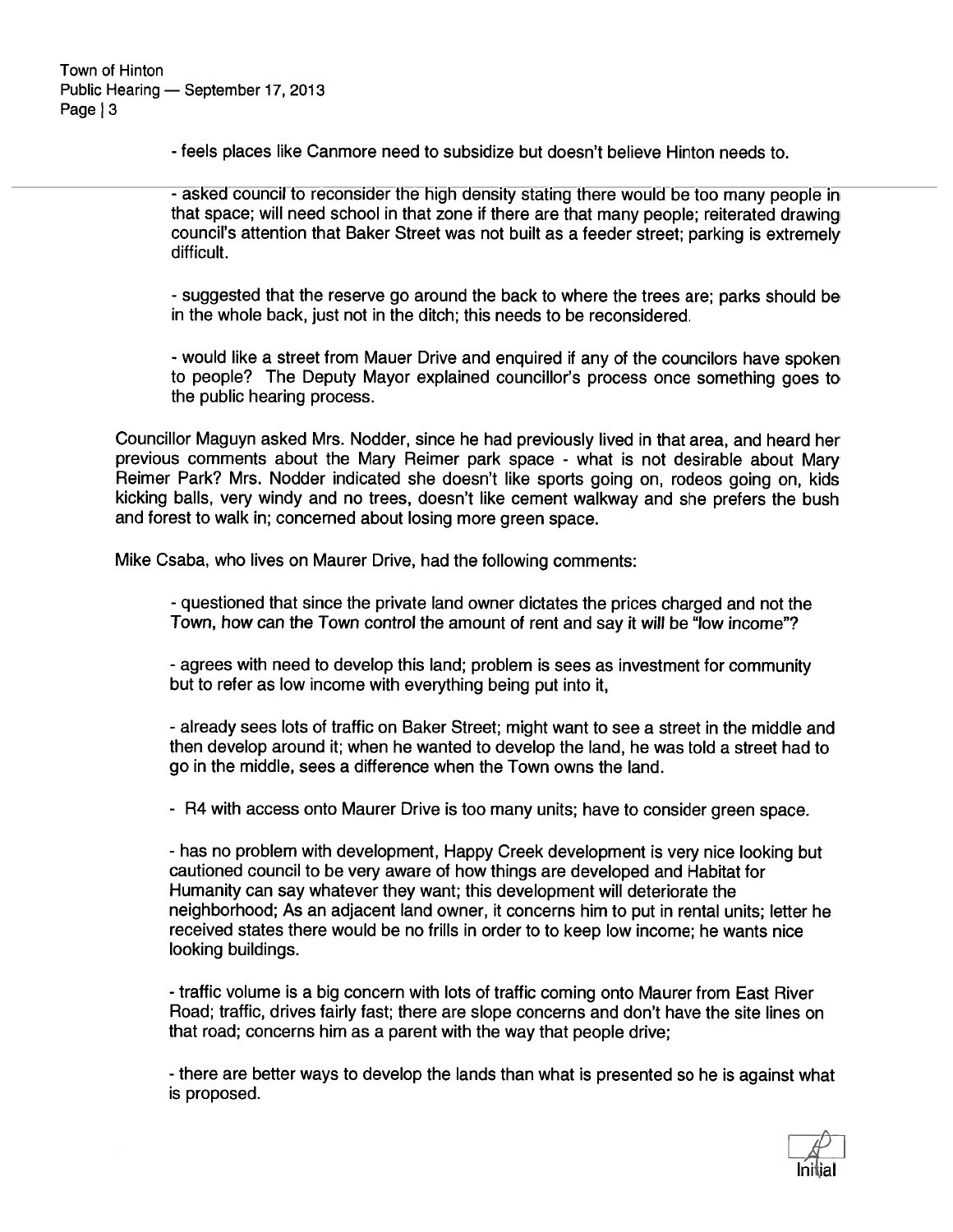- feels places like Canmore need to subsidize but doesn't believe Hinton needs to.

-asked council to reconsider the high density stating there would be too many people in that space; will need school in that zone if there are that many people; reiterated drawing council's attention that Baker Street was not built as <sup>a</sup> feeder street; parking is extremely difficult.

-suggested that the reserve go around the back to where the trees are; parks should be in the whole back, just not in the ditch; this needs to be reconsidered.

- would like <sup>a</sup> street from Mauer Drive and enquired if any of the councilors have spoken to people? The Deputy Mayor explained councillor's process once something goes to the public hearing process.

Councillor Maguyn asked Mrs. Nodder, since he had previously lived in that area, and heard her previous comments about the Mary Reimer par<sup>k</sup> space - what is not desirable about Mary Reimer Park? Mrs. Nodder indicated she doesn't like sports going on, rodeos going on, kids kicking balls, very windy and no trees, doesn't like cement walkway and she prefers the bush and forest to walk in; concerned about losing more green space.

Mike Csaba, who lives on Maurer Drive, had the following comments:

- questioned that since the private land owner dictates the prices charged and not the Town, how can the Town control the amount of rent and say it will be "low income"?

- agrees with need to develop this land; problem is sees as investment for community but to refer as low income with everything being pu<sup>t</sup> into it,

- already sees lots of traffic on Baker Street; might want to see <sup>a</sup> street in the middle and then develop around it; when he wanted to develop the land, he was told <sup>a</sup> street had to go in the middle, sees <sup>a</sup> difference when the Town owns the land.

- R4 with access onto Maurer Drive is too many units; have to consider green space.

- has no problem with development, Happy Creek development is very nice looking but cautioned council to be very aware of how things are developed and Habitat for Humanity can say whatever they want; this development will deteriorate the neighborhood; As an adjacent land owner, it concerns him to pu<sup>t</sup> in rental units; letter he received states there would be no frills in order to to keep low income; he wants nice looking buildings.

- traffic volume is <sup>a</sup> big concern with lots of traffic coming onto Maurer from East River Road; traffic, drives fairly fast; there are slope concerns and don't have the site lines on that road; concerns him as <sup>a</sup> paren<sup>t</sup> with the way that people drive;

- there are better ways to develop the lands than what is presented so he is against what is proposed.

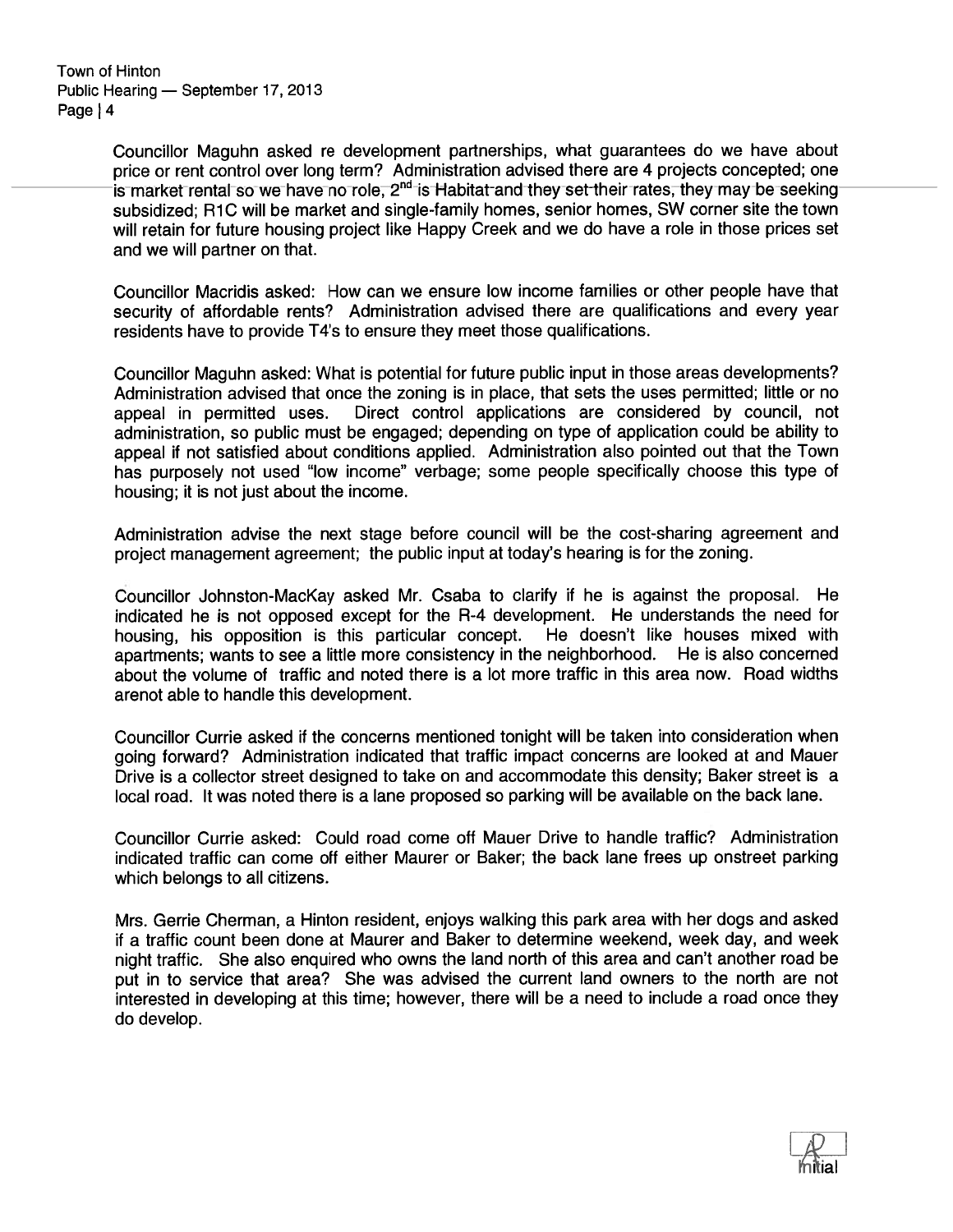> Councillor Maguhn asked re development partnerships, what guarantees do we have about price or rent control over long term? Administration advised there are <sup>4</sup> projects concepted; one is market rental so we have no role,  $2<sup>nd</sup>$  is Habitat and they set their rates, they may be seeking subsidized; R1C will be market and single-family homes, senior homes, SW corner site the town will retain for future housing project like Happy Creek and we do have <sup>a</sup> role in those prices set and we will partner on that.

> Councillor Macridis asked: How can we ensure low income families or other people have that security of affordable rents? Administration advised there are qualifications and every year residents have to provide T4's to ensure they meet those qualifications.

> Councillor Maguhn asked: What is potential for future public input in those areas developments? Administration advised that once the zoning is in place, that sets the uses permitted; little or no appea<sup>l</sup> in permitted uses. Direct control applications are considered by council, not administration, so public must be engaged; depending on type of application could be ability to appea<sup>l</sup> if not satisfied about conditions applied. Administration also pointed out that the Town has purposely not used "low income" verbage; some people specifically choose this type of housing; it is not just about the income.

> Administration advise the next stage before council will be the cost-sharing agreemen<sup>t</sup> and project managemen<sup>t</sup> agreement; the public input at today's hearing is for the zoning.

> Councillor Johnston-MacKay asked Mr. Csaba to clarify if he is against the proposal. He indicated he is not opposed excep<sup>t</sup> for the R-4 development. He understands the need for housing, his opposition is this particular concept. He doesn't like houses mixed with apartments; wants to see <sup>a</sup> little more consistency in the neighborhood. He is also concerned about the volume of traffic and noted there is <sup>a</sup> lot more traffic in this area now. Road widths arenot able to handle this development.

> Councillor Currie asked if the concerns mentioned tonight will be taken into consideration when going forward? Administration indicated that traffic impact concerns are looked at and Mauer Drive is a collector street designed to take on and accommodate this density; Baker street is a local road. It was noted there is <sup>a</sup> lane proposed so parking will be available on the back lane.

> Councillor Currie asked: Could road come off Mauer Drive to handle traffic? Administration indicated traffic can come off either Maurer or Baker; the back lane frees up onstreet parking which belongs to all citizens.

> Mrs. Gerrie Cherman, <sup>a</sup> Hinton resident, enjoys walking this park area with her dogs and asked if <sup>a</sup> traffic count been done at Maurer and Baker to determine weekend, week day, and week night traffic. She also enquired who owns the land north of this area and can't another road be pu<sup>t</sup> in to service that area? She was advised the current land owners to the north are not interested in developing at this time; however, there will be <sup>a</sup> need to include <sup>a</sup> road once they do develop.

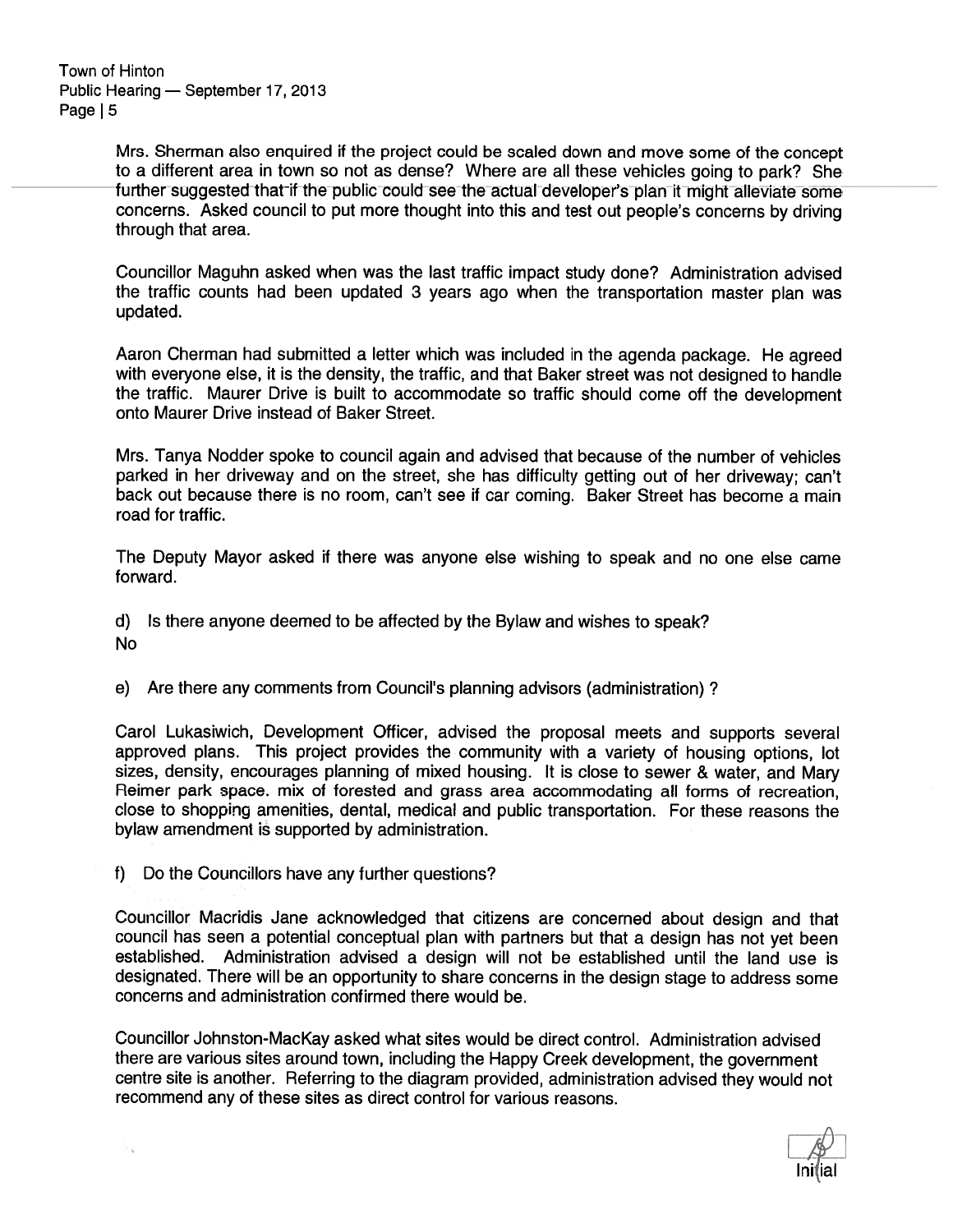> Mrs. Sherman also enquired if the project could be scaled down and move some of the concep<sup>t</sup> to <sup>a</sup> different area in town so not as dense? Where are all these vehicles going to park? She further suggested that if the public could see the actual developer's plan it might alleviate some concerns. Asked council to pu<sup>t</sup> more thought into this and test out people's concerns by driving through that area.

> Councillor Maguhn asked when was the last traffic impact study done? Administration advised the traffic counts had been updated <sup>3</sup> years ago when the transportation master <sup>p</sup>lan was updated.

> Aaron Cherman had submitted <sup>a</sup> letter which was included in the agenda package. He agree<sup>d</sup> with everyone else, it is the density, the traffic, and that Baker street was not designed to handle the traffic. Maurer Drive is built to accommodate so traffic should come off the development onto Maurer Drive instead of Baker Street.

> Mrs. Tanya Nodder spoke to council again and advised that because of the number of vehicles parked in her driveway and on the street, she has difficulty getting out of her driveway; can't back out because there is no room, can't see if car coming. Baker Street has become <sup>a</sup> main road for traffic.

> The Deputy Mayor asked if there was anyone else wishing to speak and no one else came forward.

d) Is there anyone deemed to be affected by the Bylaw and wishes to speak? No

e) Are there any comments from Council's planning advisors (administration)?

Carol Lukasiwich, Development Officer, advised the proposal meets and supports several approved plans. This project provides the community with a variety of housing options, lot sizes, density, encourages planning of mixed housing. It is close to sewer & water, and Mary Reimer park space. mix of forested and grass area accommodating all forms of recreation, close to shopping amenities, dental, medical and public transportation. For these reasons the bylaw amendment is supported by administration.

f) Do the Councillors have any further questions?

Councillor Macridis Jane acknowledged that citizens are concerned about design and that council has seen <sup>a</sup> potential conceptual <sup>p</sup>lan with partners but that <sup>a</sup> design has not ye<sup>t</sup> been established. Administration advised <sup>a</sup> design will not be established until the land use is designated. There will be an opportunity to share concerns in the design stage to address some concerns and administration confirmed there would be.

Councillor Johnston-MacKay asked what sites would be direct control. Administration advised there are various sites around town, including the Happy Creek development, the governmen<sup>t</sup> centre site is another. Referring to the diagram provided, administration advised they would not recommend any of these sites as direct control for various reasons.